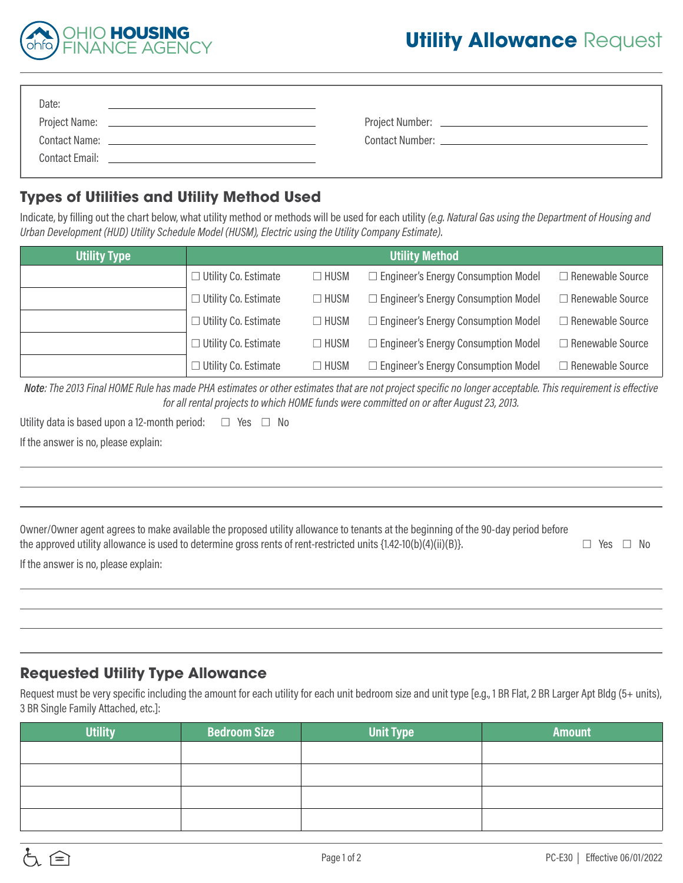

| Date:                |                                                                                                                       |  |
|----------------------|-----------------------------------------------------------------------------------------------------------------------|--|
|                      |                                                                                                                       |  |
| <b>Contact Name:</b> | <u> 1989 - John Harry Harry Harry Harry Harry Harry Harry Harry Harry Harry Harry Harry Harry Harry Harry Harry H</u> |  |
| Contact Fmail:       |                                                                                                                       |  |

## **Types of Utilities and Utility Method Used**

Indicate, by filling out the chart below, what utility method or methods will be used for each utility *(e.g. Natural Gas using the Department of Housing and Urban Development (HUD) Utility Schedule Model (HUSM), Electric using the Utility Company Estimate)*.

| <b>Utility Type</b> | <b>Utility Method</b>       |             |                                            |                         |  |
|---------------------|-----------------------------|-------------|--------------------------------------------|-------------------------|--|
|                     | $\Box$ Utility Co. Estimate | $\Box$ HUSM | $\Box$ Engineer's Energy Consumption Model | $\Box$ Renewable Source |  |
|                     | $\Box$ Utility Co. Estimate | $\Box$ HUSM | $\Box$ Engineer's Energy Consumption Model | □ Renewable Source      |  |
|                     | $\Box$ Utility Co. Estimate | $\Box$ HUSM | $\Box$ Engineer's Energy Consumption Model | $\Box$ Renewable Source |  |
|                     | $\Box$ Utility Co. Estimate | $\Box$ HUSM | $\Box$ Engineer's Energy Consumption Model | $\Box$ Renewable Source |  |
|                     | $\Box$ Utility Co. Estimate | $\Box$ HUSM | $\Box$ Engineer's Energy Consumption Model | $\Box$ Renewable Source |  |

*Note: The 2013 Final HOME Rule has made PHA estimates or other estimates that are not project specific no longer acceptable. This requirement is effective for all rental projects to which HOME funds were committed on or after August 23, 2013.* 

|  | Utility data is based upon a 12-month period: | $\Box$ Yes $\Box$ No |
|--|-----------------------------------------------|----------------------|
|--|-----------------------------------------------|----------------------|

If the answer is no, please explain:

l,

| Owner/Owner agent agrees to make available the proposed utility allowance to tenants at the beginning of the 90-day period before<br>the approved utility allowance is used to determine gross rents of rent-restricted units $\{1.42-10(b)(4)(ii)(B)\}$ . | $\Box$ Yes $\Box$ No |
|------------------------------------------------------------------------------------------------------------------------------------------------------------------------------------------------------------------------------------------------------------|----------------------|
| If the answer is no, please explain:                                                                                                                                                                                                                       |                      |

## **Requested Utility Type Allowance**

Request must be very specific including the amount for each utility for each unit bedroom size and unit type [e.g., 1 BR Flat, 2 BR Larger Apt Bldg (5+ units), 3 BR Single Family Attached, etc.]:

| <b>Utility</b> | <b>Bedroom Size</b> | <b>Unit Type</b> | <b>Amount</b> |
|----------------|---------------------|------------------|---------------|
|                |                     |                  |               |
|                |                     |                  |               |
|                |                     |                  |               |
|                |                     |                  |               |